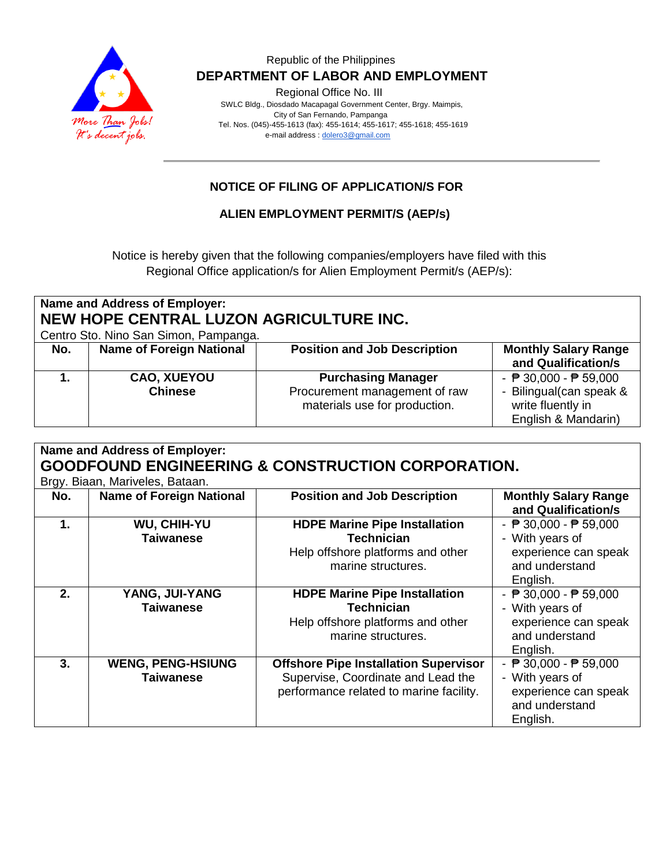

Regional Office No. III

 SWLC Bldg., Diosdado Macapagal Government Center, Brgy. Maimpis, City of San Fernando, Pampanga Tel. Nos. (045)-455-1613 (fax): 455-1614; 455-1617; 455-1618; 455-1619 e-mail address [: dolero3@gmail.com](mailto:dolero3@gmail.com)

## **NOTICE OF FILING OF APPLICATION/S FOR**

### **ALIEN EMPLOYMENT PERMIT/S (AEP/s)**

Notice is hereby given that the following companies/employers have filed with this Regional Office application/s for Alien Employment Permit/s (AEP/s):

| <b>Name and Address of Employer:</b><br>NEW HOPE CENTRAL LUZON AGRICULTURE INC.<br>Centro Sto. Nino San Simon, Pampanga. |                                      |                                                                                             |                                                                                                                        |
|--------------------------------------------------------------------------------------------------------------------------|--------------------------------------|---------------------------------------------------------------------------------------------|------------------------------------------------------------------------------------------------------------------------|
| No.                                                                                                                      | <b>Name of Foreign National</b>      | <b>Position and Job Description</b>                                                         | <b>Monthly Salary Range</b><br>and Qualification/s                                                                     |
|                                                                                                                          | <b>CAO, XUEYOU</b><br><b>Chinese</b> | <b>Purchasing Manager</b><br>Procurement management of raw<br>materials use for production. | - $\overline{P}$ 30,000 - $\overline{P}$ 59,000<br>- Bilingual(can speak &<br>write fluently in<br>English & Mandarin) |

| Name and Address of Employer:                                |                                 |                                              |                                                    |  |  |
|--------------------------------------------------------------|---------------------------------|----------------------------------------------|----------------------------------------------------|--|--|
| <b>GOODFOUND ENGINEERING &amp; CONSTRUCTION CORPORATION.</b> |                                 |                                              |                                                    |  |  |
|                                                              | Brgy. Biaan, Mariveles, Bataan. |                                              |                                                    |  |  |
| No.                                                          | <b>Name of Foreign National</b> | <b>Position and Job Description</b>          | <b>Monthly Salary Range</b><br>and Qualification/s |  |  |
| $\mathbf 1$ .                                                | <b>WU, CHIH-YU</b>              | <b>HDPE Marine Pipe Installation</b>         | - $\overline{P}$ 30,000 - $\overline{P}$ 59,000    |  |  |
|                                                              | <b>Taiwanese</b>                | <b>Technician</b>                            | - With years of                                    |  |  |
|                                                              |                                 | Help offshore platforms and other            | experience can speak                               |  |  |
|                                                              |                                 | marine structures.                           | and understand                                     |  |  |
|                                                              |                                 |                                              | English.                                           |  |  |
| 2.                                                           | YANG, JUI-YANG                  | <b>HDPE Marine Pipe Installation</b>         | - $\overline{P}$ 30,000 - $\overline{P}$ 59,000    |  |  |
|                                                              | <b>Taiwanese</b>                | <b>Technician</b>                            | - With years of                                    |  |  |
|                                                              |                                 | Help offshore platforms and other            | experience can speak                               |  |  |
|                                                              |                                 | marine structures.                           | and understand                                     |  |  |
|                                                              |                                 |                                              | English.                                           |  |  |
| 3.                                                           | <b>WENG, PENG-HSIUNG</b>        | <b>Offshore Pipe Installation Supervisor</b> | - ₱ 30,000 - ₱ 59,000                              |  |  |
|                                                              | <b>Taiwanese</b>                | Supervise, Coordinate and Lead the           | - With years of                                    |  |  |
|                                                              |                                 | performance related to marine facility.      | experience can speak                               |  |  |
|                                                              |                                 |                                              | and understand                                     |  |  |
|                                                              |                                 |                                              | English.                                           |  |  |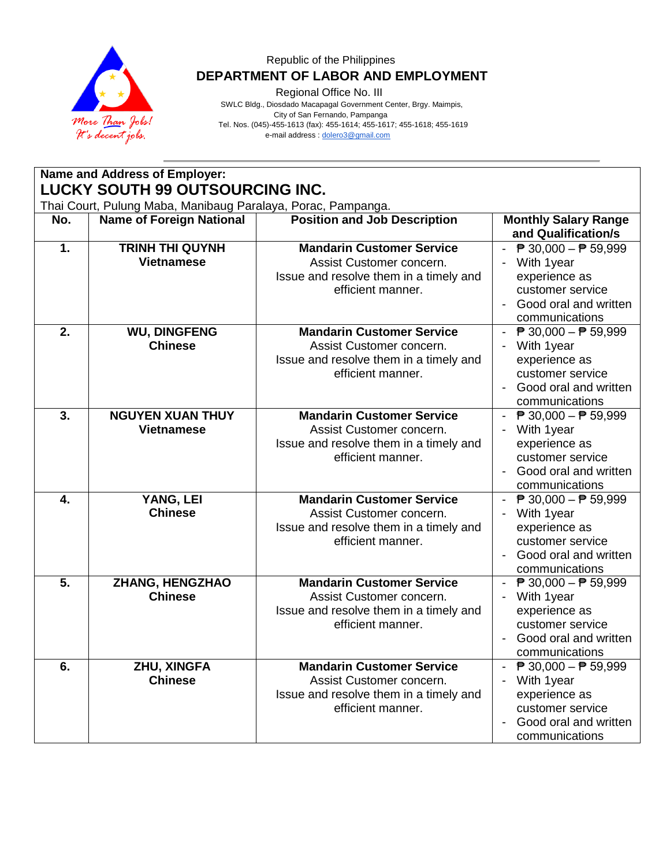

Regional Office No. III

 SWLC Bldg., Diosdado Macapagal Government Center, Brgy. Maimpis, City of San Fernando, Pampanga Tel. Nos. (045)-455-1613 (fax): 455-1614; 455-1617; 455-1618; 455-1619 e-mail address [: dolero3@gmail.com](mailto:dolero3@gmail.com)

|                                                                                                 | Name and Address of Employer:                |                                                                                                                             |                                                                                                                                                                           |  |
|-------------------------------------------------------------------------------------------------|----------------------------------------------|-----------------------------------------------------------------------------------------------------------------------------|---------------------------------------------------------------------------------------------------------------------------------------------------------------------------|--|
| LUCKY SOUTH 99 OUTSOURCING INC.<br>Thai Court, Pulung Maba, Manibaug Paralaya, Porac, Pampanga. |                                              |                                                                                                                             |                                                                                                                                                                           |  |
| No.                                                                                             | <b>Name of Foreign National</b>              | <b>Position and Job Description</b>                                                                                         | <b>Monthly Salary Range</b><br>and Qualification/s                                                                                                                        |  |
| 1.                                                                                              | <b>TRINH THI QUYNH</b><br><b>Vietnamese</b>  | <b>Mandarin Customer Service</b><br>Assist Customer concern.<br>Issue and resolve them in a timely and<br>efficient manner. | - $\overline{P}$ 30,000 - $\overline{P}$ 59,999<br>With 1year<br>experience as<br>customer service<br>Good oral and written<br>communications                             |  |
| 2.                                                                                              | <b>WU, DINGFENG</b><br><b>Chinese</b>        | <b>Mandarin Customer Service</b><br>Assist Customer concern.<br>Issue and resolve them in a timely and<br>efficient manner. | $\overline{P}$ 30,000 − $\overline{P}$ 59,999<br>With 1year<br>experience as<br>customer service<br>Good oral and written<br>communications                               |  |
| 3.                                                                                              | <b>NGUYEN XUAN THUY</b><br><b>Vietnamese</b> | <b>Mandarin Customer Service</b><br>Assist Customer concern.<br>Issue and resolve them in a timely and<br>efficient manner. | $\overline{P}$ 30,000 − $\overline{P}$ 59,999<br>With 1year<br>experience as<br>customer service<br>Good oral and written<br>communications                               |  |
| 4.                                                                                              | YANG, LEI<br><b>Chinese</b>                  | <b>Mandarin Customer Service</b><br>Assist Customer concern.<br>Issue and resolve them in a timely and<br>efficient manner. | - $\overline{P}$ 30,000 - $\overline{P}$ 59,999<br>With 1year<br>experience as<br>customer service<br>Good oral and written<br>$\overline{\phantom{a}}$<br>communications |  |
| 5.                                                                                              | ZHANG, HENGZHAO<br><b>Chinese</b>            | <b>Mandarin Customer Service</b><br>Assist Customer concern.<br>Issue and resolve them in a timely and<br>efficient manner. | $\overline{P}$ 30,000 − $\overline{P}$ 59,999<br>With 1year<br>experience as<br>customer service<br>Good oral and written<br>communications                               |  |
| 6.                                                                                              | ZHU, XINGFA<br><b>Chinese</b>                | <b>Mandarin Customer Service</b><br>Assist Customer concern.<br>Issue and resolve them in a timely and<br>efficient manner. | $\overline{P}$ 30,000 − $\overline{P}$ 59,999<br>With 1year<br>experience as<br>customer service<br>Good oral and written<br>communications                               |  |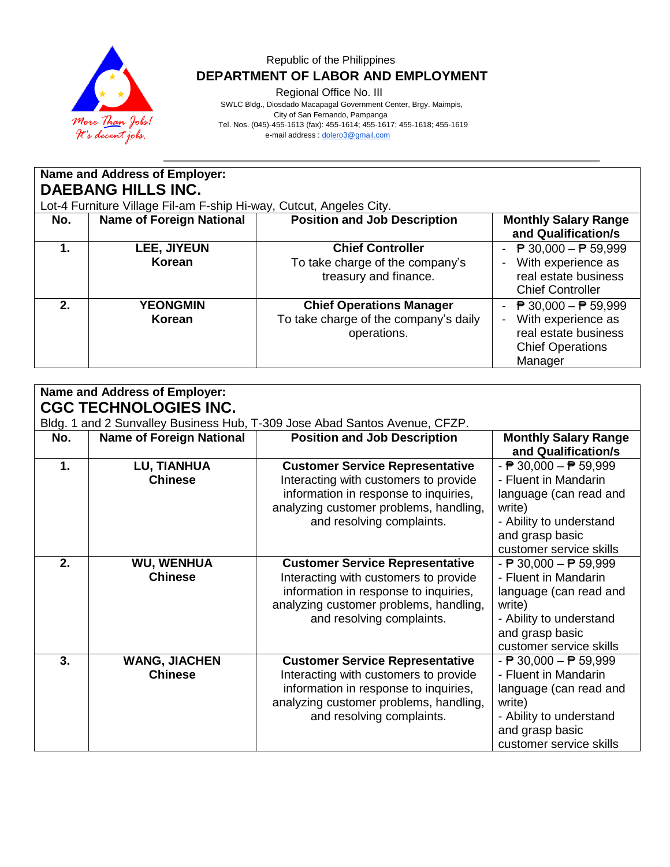

Regional Office No. III

 SWLC Bldg., Diosdado Macapagal Government Center, Brgy. Maimpis, City of San Fernando, Pampanga Tel. Nos. (045)-455-1613 (fax): 455-1614; 455-1617; 455-1618; 455-1619 e-mail address [: dolero3@gmail.com](mailto:dolero3@gmail.com)

| Name and Address of Employer:<br><b>DAEBANG HILLS INC.</b><br>Lot-4 Furniture Village Fil-am F-ship Hi-way, Cutcut, Angeles City. |                                 |                                                                                         |                                                                                                                                                                 |
|-----------------------------------------------------------------------------------------------------------------------------------|---------------------------------|-----------------------------------------------------------------------------------------|-----------------------------------------------------------------------------------------------------------------------------------------------------------------|
| No.                                                                                                                               | <b>Name of Foreign National</b> | <b>Position and Job Description</b>                                                     | <b>Monthly Salary Range</b><br>and Qualification/s                                                                                                              |
| 1.                                                                                                                                | LEE, JIYEUN<br>Korean           | <b>Chief Controller</b><br>To take charge of the company's<br>treasury and finance.     | <b>₱ 30,000 – ₱ 59,999</b><br>$\overline{\phantom{0}}$<br>With experience as<br>real estate business<br><b>Chief Controller</b>                                 |
| 2.                                                                                                                                | <b>YEONGMIN</b><br>Korean       | <b>Chief Operations Manager</b><br>To take charge of the company's daily<br>operations. | - $\overline{P}$ 30,000 - $\overline{P}$ 59,999<br>With experience as<br>$\overline{\phantom{a}}$<br>real estate business<br><b>Chief Operations</b><br>Manager |

| <b>Name and Address of Employer:</b>                                                                       |                                        |                                                                                                                                                                                                 |                                                                                                                                                                                      |  |
|------------------------------------------------------------------------------------------------------------|----------------------------------------|-------------------------------------------------------------------------------------------------------------------------------------------------------------------------------------------------|--------------------------------------------------------------------------------------------------------------------------------------------------------------------------------------|--|
| <b>CGC TECHNOLOGIES INC.</b><br>Bldg. 1 and 2 Sunvalley Business Hub, T-309 Jose Abad Santos Avenue, CFZP. |                                        |                                                                                                                                                                                                 |                                                                                                                                                                                      |  |
| No.                                                                                                        | <b>Name of Foreign National</b>        | <b>Position and Job Description</b>                                                                                                                                                             | <b>Monthly Salary Range</b><br>and Qualification/s                                                                                                                                   |  |
| 1.                                                                                                         | LU, TIANHUA<br><b>Chinese</b>          | <b>Customer Service Representative</b><br>Interacting with customers to provide<br>information in response to inquiries,<br>analyzing customer problems, handling,<br>and resolving complaints. | $ \overline{P}$ 30,000 $ \overline{P}$ 59,999<br>- Fluent in Mandarin<br>language (can read and<br>write)<br>- Ability to understand<br>and grasp basic<br>customer service skills   |  |
| 2.                                                                                                         | <b>WU, WENHUA</b><br><b>Chinese</b>    | <b>Customer Service Representative</b><br>Interacting with customers to provide<br>information in response to inquiries,<br>analyzing customer problems, handling,<br>and resolving complaints. | - $\overline{P}$ 30,000 - $\overline{P}$ 59,999<br>- Fluent in Mandarin<br>language (can read and<br>write)<br>- Ability to understand<br>and grasp basic<br>customer service skills |  |
| 3.                                                                                                         | <b>WANG, JIACHEN</b><br><b>Chinese</b> | <b>Customer Service Representative</b><br>Interacting with customers to provide<br>information in response to inquiries,<br>analyzing customer problems, handling,<br>and resolving complaints. | - $\overline{P}$ 30,000 - $\overline{P}$ 59,999<br>- Fluent in Mandarin<br>language (can read and<br>write)<br>- Ability to understand<br>and grasp basic<br>customer service skills |  |